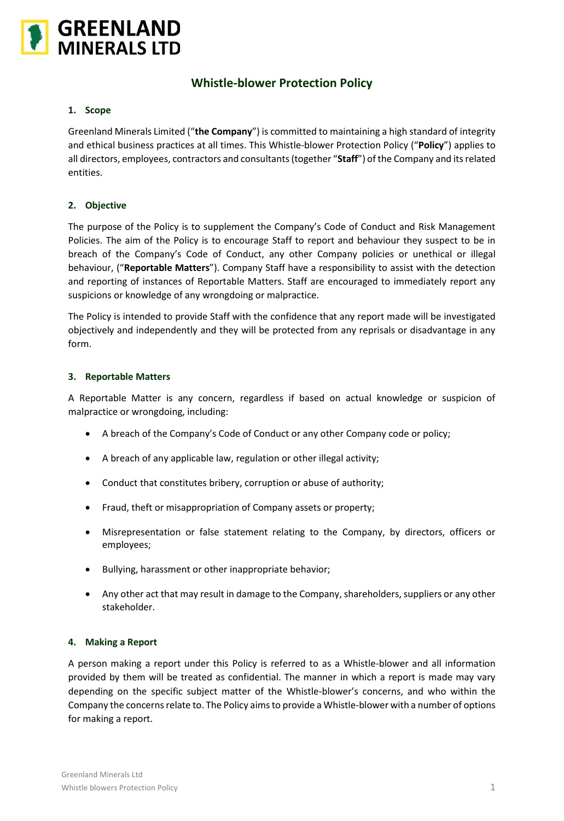

# **Whistle-blower Protection Policy**

#### **1. Scope**

Greenland Minerals Limited ("**the Company**") is committed to maintaining a high standard of integrity and ethical business practices at all times. This Whistle-blower Protection Policy ("**Policy**") applies to all directors, employees, contractors and consultants (together "**Staff**") of the Company and its related entities.

#### **2. Objective**

The purpose of the Policy is to supplement the Company's Code of Conduct and Risk Management Policies. The aim of the Policy is to encourage Staff to report and behaviour they suspect to be in breach of the Company's Code of Conduct, any other Company policies or unethical or illegal behaviour, ("**Reportable Matters**"). Company Staff have a responsibility to assist with the detection and reporting of instances of Reportable Matters. Staff are encouraged to immediately report any suspicions or knowledge of any wrongdoing or malpractice.

The Policy is intended to provide Staff with the confidence that any report made will be investigated objectively and independently and they will be protected from any reprisals or disadvantage in any form.

#### **3. Reportable Matters**

A Reportable Matter is any concern, regardless if based on actual knowledge or suspicion of malpractice or wrongdoing, including:

- A breach of the Company's Code of Conduct or any other Company code or policy;
- A breach of any applicable law, regulation or other illegal activity;
- Conduct that constitutes bribery, corruption or abuse of authority;
- Fraud, theft or misappropriation of Company assets or property;
- Misrepresentation or false statement relating to the Company, by directors, officers or employees;
- Bullying, harassment or other inappropriate behavior;
- Any other act that may result in damage to the Company, shareholders, suppliers or any other stakeholder.

#### **4. Making a Report**

A person making a report under this Policy is referred to as a Whistle-blower and all information provided by them will be treated as confidential. The manner in which a report is made may vary depending on the specific subject matter of the Whistle-blower's concerns, and who within the Company the concerns relate to. The Policy aims to provide a Whistle-blower with a number of options for making a report.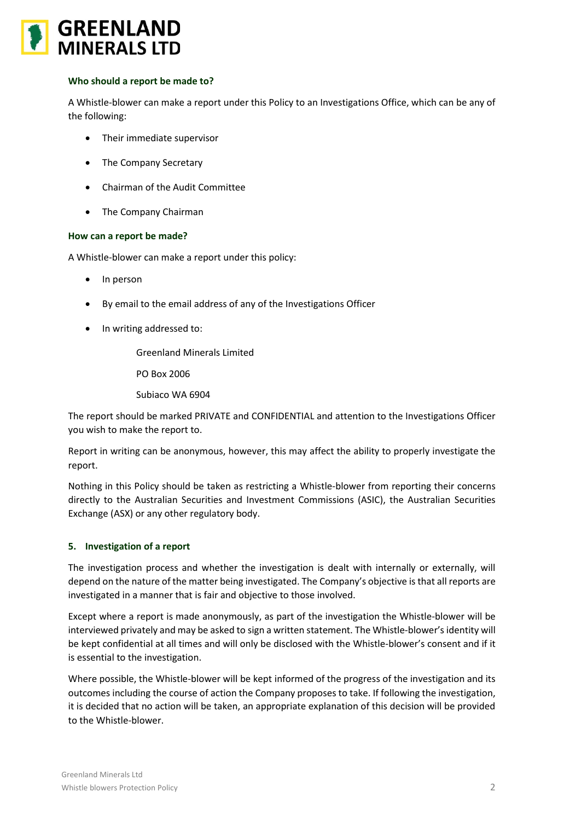

#### **Who should a report be made to?**

A Whistle-blower can make a report under this Policy to an Investigations Office, which can be any of the following:

- Their immediate supervisor
- The Company Secretary
- Chairman of the Audit Committee
- The Company Chairman

#### **How can a report be made?**

A Whistle-blower can make a report under this policy:

- In person
- By email to the email address of any of the Investigations Officer
- In writing addressed to:

Greenland Minerals Limited

PO Box 2006

Subiaco WA 6904

The report should be marked PRIVATE and CONFIDENTIAL and attention to the Investigations Officer you wish to make the report to.

Report in writing can be anonymous, however, this may affect the ability to properly investigate the report.

Nothing in this Policy should be taken as restricting a Whistle-blower from reporting their concerns directly to the Australian Securities and Investment Commissions (ASIC), the Australian Securities Exchange (ASX) or any other regulatory body.

#### **5. Investigation of a report**

The investigation process and whether the investigation is dealt with internally or externally, will depend on the nature of the matter being investigated. The Company's objective is that all reports are investigated in a manner that is fair and objective to those involved.

Except where a report is made anonymously, as part of the investigation the Whistle-blower will be interviewed privately and may be asked to sign a written statement. The Whistle-blower's identity will be kept confidential at all times and will only be disclosed with the Whistle-blower's consent and if it is essential to the investigation.

Where possible, the Whistle-blower will be kept informed of the progress of the investigation and its outcomes including the course of action the Company proposes to take. If following the investigation, it is decided that no action will be taken, an appropriate explanation of this decision will be provided to the Whistle-blower.